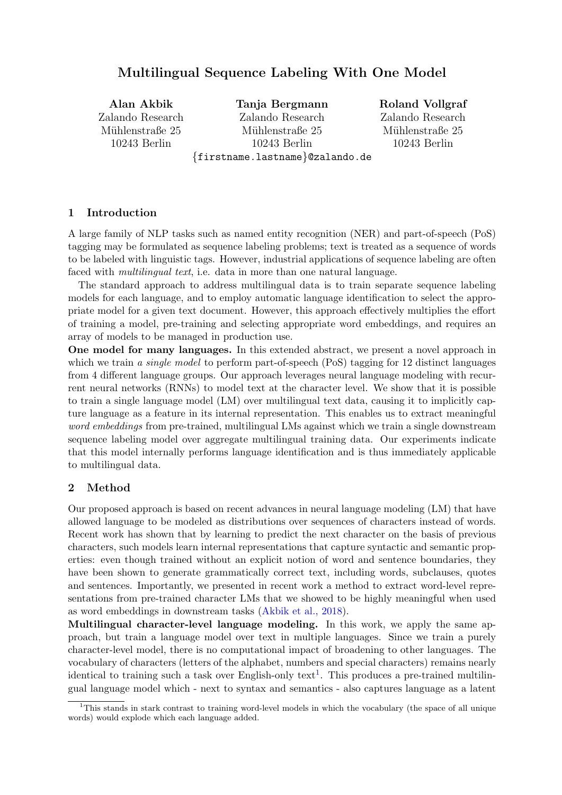# Multilingual Sequence Labeling With One Model

Alan Akbik Zalando Research Mühlenstraße 25 10243 Berlin Tanja Bergmann Zalando Research Mühlenstraße 25 10243 Berlin {firstname.lastname}@zalando.de

Roland Vollgraf

Zalando Research Mühlenstraße 25 10243 Berlin

#### 1 Introduction

A large family of NLP tasks such as named entity recognition (NER) and part-of-speech (PoS) tagging may be formulated as sequence labeling problems; text is treated as a sequence of words to be labeled with linguistic tags. However, industrial applications of sequence labeling are often faced with *multilingual text*, i.e. data in more than one natural language.

The standard approach to address multilingual data is to train separate sequence labeling models for each language, and to employ automatic language identification to select the appropriate model for a given text document. However, this approach effectively multiplies the effort of training a model, pre-training and selecting appropriate word embeddings, and requires an array of models to be managed in production use.

One model for many languages. In this extended abstract, we present a novel approach in which we train a single model to perform part-of-speech  $(Pos)$  tagging for 12 distinct languages from 4 different language groups. Our approach leverages neural language modeling with recurrent neural networks (RNNs) to model text at the character level. We show that it is possible to train a single language model (LM) over multilingual text data, causing it to implicitly capture language as a feature in its internal representation. This enables us to extract meaningful word embeddings from pre-trained, multilingual LMs against which we train a single downstream sequence labeling model over aggregate multilingual training data. Our experiments indicate that this model internally performs language identification and is thus immediately applicable to multilingual data.

#### 2 Method

Our proposed approach is based on recent advances in neural language modeling (LM) that have allowed language to be modeled as distributions over sequences of characters instead of words. Recent work has shown that by learning to predict the next character on the basis of previous characters, such models learn internal representations that capture syntactic and semantic properties: even though trained without an explicit notion of word and sentence boundaries, they have been shown to generate grammatically correct text, including words, subclauses, quotes and sentences. Importantly, we presented in recent work a method to extract word-level representations from pre-trained character LMs that we showed to be highly meaningful when used as word embeddings in downstream tasks [\(Akbik et al., 2018\)](#page-2-0).

Multilingual character-level language modeling. In this work, we apply the same approach, but train a language model over text in multiple languages. Since we train a purely character-level model, there is no computational impact of broadening to other languages. The vocabulary of characters (letters of the alphabet, numbers and special characters) remains nearly identical to training such a task over English-only text<sup>[1](#page-0-0)</sup>. This produces a pre-trained multilingual language model which - next to syntax and semantics - also captures language as a latent

<span id="page-0-0"></span> $1$ <sup>1</sup>This stands in stark contrast to training word-level models in which the vocabulary (the space of all unique words) would explode which each language added.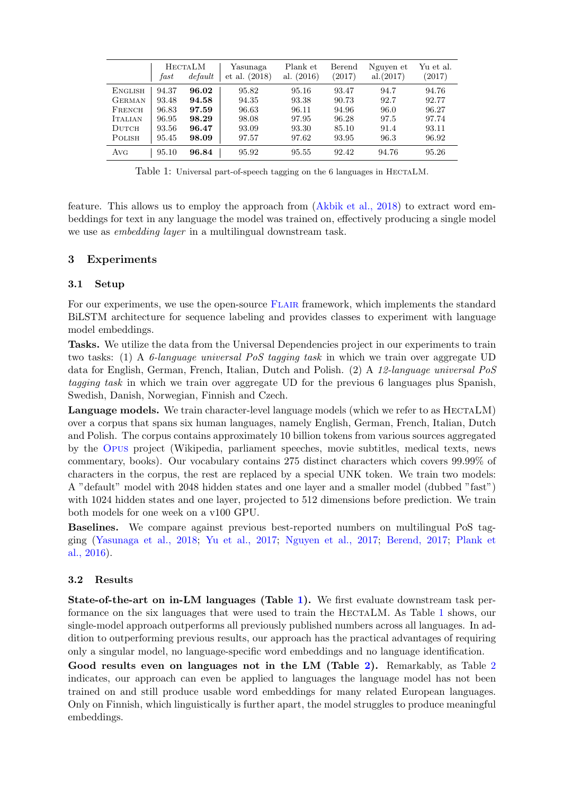|                | fast  | <b>HECTALM</b><br>default | Yasunaga<br>et al. (2018) | Plank et<br>al. $(2016)$ | Berend<br>(2017) | Nguyen et<br>al.(2017) | Yu et al.<br>(2017) |
|----------------|-------|---------------------------|---------------------------|--------------------------|------------------|------------------------|---------------------|
| <b>ENGLISH</b> | 94.37 | 96.02                     | 95.82                     | 95.16                    | 93.47            | 94.7                   | 94.76               |
| GERMAN         | 93.48 | 94.58                     | 94.35                     | 93.38                    | 90.73            | 92.7                   | 92.77               |
| FRENCH         | 96.83 | 97.59                     | 96.63                     | 96.11                    | 94.96            | 96.0                   | 96.27               |
| <b>ITALIAN</b> | 96.95 | 98.29                     | 98.08                     | 97.95                    | 96.28            | 97.5                   | 97.74               |
| $_{\rm DUTCH}$ | 93.56 | 96.47                     | 93.09                     | 93.30                    | 85.10            | 91.4                   | 93.11               |
| POLISH         | 95.45 | 98.09                     | 97.57                     | 97.62                    | 93.95            | 96.3                   | 96.92               |
| Avg            | 95.10 | 96.84                     | 95.92                     | 95.55                    | 92.42            | 94.76                  | 95.26               |

<span id="page-1-0"></span>Table 1: Universal part-of-speech tagging on the 6 languages in HECTALM.

feature. This allows us to employ the approach from [\(Akbik et al., 2018\)](#page-2-0) to extract word embeddings for text in any language the model was trained on, effectively producing a single model we use as embedding layer in a multilingual downstream task.

# 3 Experiments

# 3.1 Setup

For our experiments, we use the open-source FLAIR framework, which implements the standard BiLSTM architecture for sequence labeling and provides classes to experiment with language model embeddings.

Tasks. We utilize the data from the Universal Dependencies project in our experiments to train two tasks: (1) A 6-language universal PoS tagging task in which we train over aggregate UD data for English, German, French, Italian, Dutch and Polish. (2) A 12-language universal PoS tagging task in which we train over aggregate UD for the previous 6 languages plus Spanish, Swedish, Danish, Norwegian, Finnish and Czech.

Language models. We train character-level language models (which we refer to as HECTALM) over a corpus that spans six human languages, namely English, German, French, Italian, Dutch and Polish. The corpus contains approximately 10 billion tokens from various sources aggregated by the [Opus](http://opus.nlpl.eu/) project (Wikipedia, parliament speeches, movie subtitles, medical texts, news commentary, books). Our vocabulary contains 275 distinct characters which covers 99.99% of characters in the corpus, the rest are replaced by a special UNK token. We train two models: A "default" model with 2048 hidden states and one layer and a smaller model (dubbed "fast") with 1024 hidden states and one layer, projected to 512 dimensions before prediction. We train both models for one week on a v100 GPU.

Baselines. We compare against previous best-reported numbers on multilingual PoS tagging [\(Yasunaga et al., 2018;](#page-2-1) [Yu et al., 2017;](#page-2-2) [Nguyen et al., 2017;](#page-2-3) [Berend, 2017;](#page-2-4) [Plank et](#page-2-5) [al., 2016\)](#page-2-5).

# 3.2 Results

State-of-the-art on in-LM languages (Table [1\)](#page-1-0). We first evaluate downstream task per-formance on the six languages that were used to train the HECTALM. As Table [1](#page-1-0) shows, our single-model approach outperforms all previously published numbers across all languages. In addition to outperforming previous results, our approach has the practical advantages of requiring only a singular model, no language-specific word embeddings and no language identification.

Good results even on languages not in the LM (Table [2\)](#page-2-6). Remarkably, as Table [2](#page-2-6) indicates, our approach can even be applied to languages the language model has not been trained on and still produce usable word embeddings for many related European languages. Only on Finnish, which linguistically is further apart, the model struggles to produce meaningful embeddings.